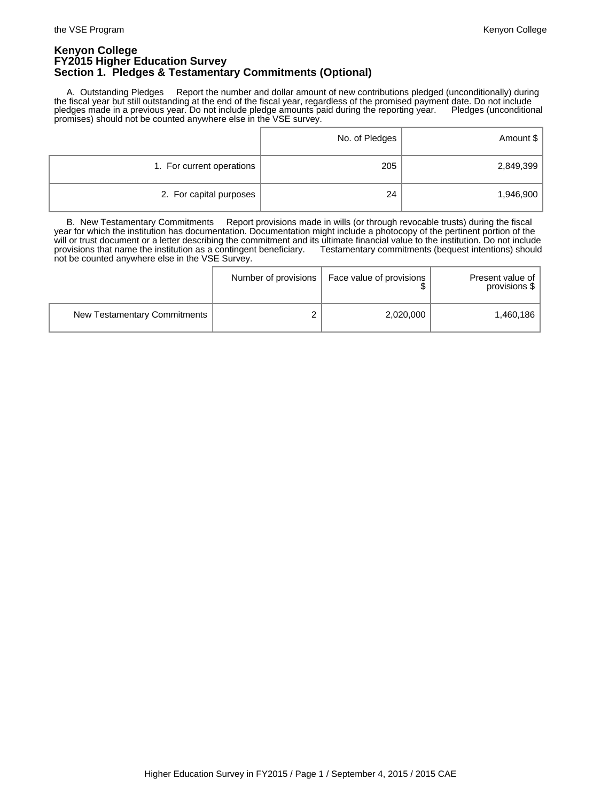### **Kenyon College FY2015 Higher Education Survey Section 1. Pledges & Testamentary Commitments (Optional)**

 A. Outstanding Pledges Report the number and dollar amount of new contributions pledged (unconditionally) during the fiscal year but still outstanding at the end of the fiscal year, regardless of the promised payment date. Do not include pledges made in a previous year. Do not include pledge amounts paid during the reporting year. Pledges (unconditional promises) should not be counted anywhere else in the VSE survey.

|                           | No. of Pledges | Amount \$ |
|---------------------------|----------------|-----------|
| 1. For current operations | 205            | 2,849,399 |
| 2. For capital purposes   | 24             | 1,946,900 |

 B. New Testamentary Commitments Report provisions made in wills (or through revocable trusts) during the fiscal year for which the institution has documentation. Documentation might include a photocopy of the pertinent portion of the will or trust document or a letter describing the commitment and its ultimate financial value to the institution. Do not include provisions that name the institution as a contingent beneficiary. Testamentary commitments (bequest intentions) should not be counted anywhere else in the VSE Survey.

|                              | Number of provisions | Face value of provisions | Present value of<br>provisions \$ |
|------------------------------|----------------------|--------------------------|-----------------------------------|
| New Testamentary Commitments |                      | 2,020,000                | 1.460.186                         |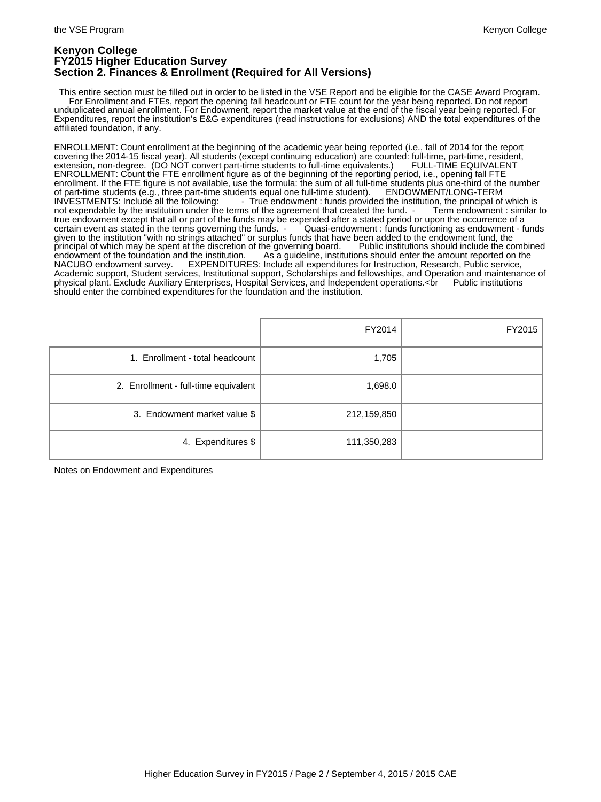### **Kenyon College FY2015 Higher Education Survey Section 2. Finances & Enrollment (Required for All Versions)**

 This entire section must be filled out in order to be listed in the VSE Report and be eligible for the CASE Award Program. For Enrollment and FTEs, report the opening fall headcount or FTE count for the year being reported. Do not report unduplicated annual enrollment. For Endowment, report the market value at the end of the fiscal year being reported. For Expenditures, report the institution's E&G expenditures (read instructions for exclusions) AND the total expenditures of the affiliated foundation, if any.

ENROLLMENT: Count enrollment at the beginning of the academic year being reported (i.e., fall of 2014 for the report covering the 2014-15 fiscal year). All students (except continuing education) are counted: full-time, part-time, resident, extension, non-degree. (DO NOT convert part-time students to full-time equivalents.) FULL-TIME EQUIVALENT ENROLLMENT: Count the FTE enrollment figure as of the beginning of the reporting period, i.e., opening fall FTE enrollment. If the FTE figure is not available, use the formula: the sum of all full-time students plus one-third of the number<br>of part-time students (e.g., three part-time students equal one full-time student). ENDOWMENT/ of part-time students (e.g., three part-time students equal one full-time student).<br>INVESTMENTS: Include all the following: <br>True endowment: funds provident - True endowment : funds provided the institution, the principal of which is ms of the agreement that created the fund. - Term endowment : similar to not expendable by the institution under the terms of the agreement that created the fund. true endowment except that all or part of the funds may be expended after a stated period or upon the occurrence of a certain event as stated in the terms governing the funds. - Quasi-endowment : funds functioning as endowment - funds given to the institution "with no strings attached" or surplus funds that have been added to the endowment fund, the<br>principal of which may be spent at the discretion of the governing board. Public institutions should incl principal of which may be spent at the discretion of the governing board.<br>Public institutions showled institutions showled the combined institutions showled include the found the combi endowment of the foundation and the institution. As a guideline, institutions should enter the amount reported on the<br>NACUBO endowment survey. EXPENDITURES: Include all expenditures for Instruction, Research, Public servic EXPENDITURES: Include all expenditures for Instruction, Research, Public service, Academic support, Student services, Institutional support, Scholarships and fellowships, and Operation and maintenance of<br>physical plant. Exclude Auxiliary Enterprises, Hospital Services, and Independent operations.<br Pub physical plant. Exclude Auxiliary Enterprises, Hospital Services, and Independent operations.<br />
ref> should enter the combined expenditures for the foundation and the institution.

|                                      | FY2014      | FY2015 |
|--------------------------------------|-------------|--------|
| 1. Enrollment - total headcount      | 1,705       |        |
| 2. Enrollment - full-time equivalent | 1,698.0     |        |
| 3. Endowment market value \$         | 212,159,850 |        |
| 4. Expenditures \$                   | 111,350,283 |        |

Notes on Endowment and Expenditures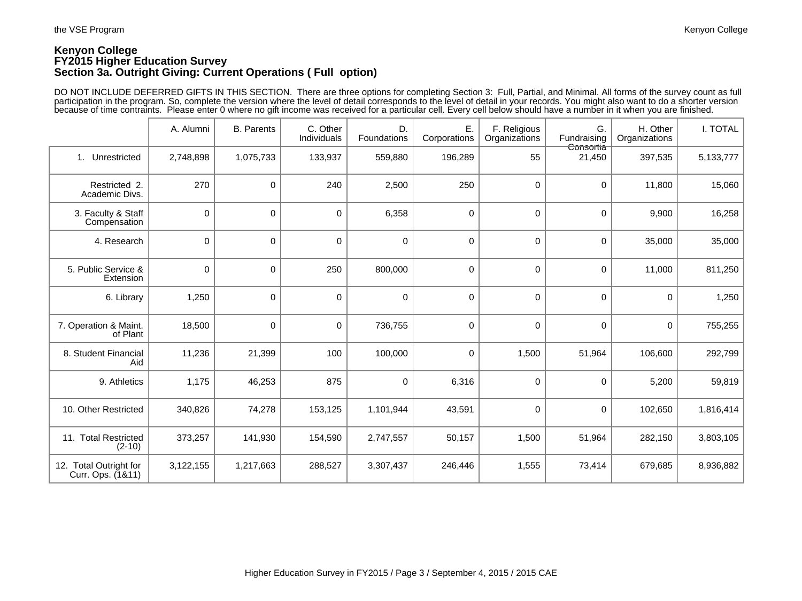# **Kenyon College FY2015 Higher Education Survey Section 3a. Outright Giving: Current Operations ( Full option)**

DO NOT INCLUDE DEFERRED GIFTS IN THIS SECTION. There are three options for completing Section 3: Full, Partial, and Minimal. All forms of the survey count as full participation in the program. So, complete the version where the level of detail corresponds to the level of detail in your records. You might also want to do a shorter version because of time contraints. Please enter 0 where no gift income was received for a particular cell. Every cell below should have a number in it when you are finished.

|                                             | A. Alumni   | <b>B.</b> Parents | C. Other<br>Individuals | D.<br>Foundations | E.<br>Corporations | F. Religious<br>Organizations | G.<br>Fundraising   | H. Other<br>Organizations | I. TOTAL  |
|---------------------------------------------|-------------|-------------------|-------------------------|-------------------|--------------------|-------------------------------|---------------------|---------------------------|-----------|
| Unrestricted<br>1.                          | 2,748,898   | 1,075,733         | 133,937                 | 559,880           | 196,289            | 55                            | Consortia<br>21,450 | 397,535                   | 5,133,777 |
| Restricted 2.<br>Academic Divs.             | 270         | 0                 | 240                     | 2,500             | 250                | $\mathbf 0$                   | 0                   | 11,800                    | 15,060    |
| 3. Faculty & Staff<br>Compensation          | $\mathsf 0$ | 0                 | $\mathbf 0$             | 6,358             | $\mathbf 0$        | $\mathbf 0$                   | 0                   | 9,900                     | 16,258    |
| 4. Research                                 | $\mathsf 0$ | 0                 | $\mathbf 0$             | $\mathbf 0$       | $\mathbf 0$        | $\mathbf 0$                   | 0                   | 35,000                    | 35,000    |
| 5. Public Service &<br>Extension            | 0           | $\mathbf 0$       | 250                     | 800,000           | $\mathbf 0$        | $\mathbf 0$                   | 0                   | 11,000                    | 811,250   |
| 6. Library                                  | 1,250       | 0                 | $\mathbf 0$             | $\mathbf 0$       | $\mathbf 0$        | $\mathbf 0$                   | 0                   | $\Omega$                  | 1,250     |
| 7. Operation & Maint.<br>of Plant           | 18,500      | 0                 | $\mathbf 0$             | 736,755           | $\mathbf 0$        | 0                             | 0                   | $\mathbf 0$               | 755,255   |
| 8. Student Financial<br>Aid                 | 11,236      | 21,399            | 100                     | 100,000           | 0                  | 1,500                         | 51,964              | 106,600                   | 292,799   |
| 9. Athletics                                | 1,175       | 46,253            | 875                     | 0                 | 6,316              | 0                             | 0                   | 5,200                     | 59,819    |
| 10. Other Restricted                        | 340,826     | 74,278            | 153,125                 | 1,101,944         | 43,591             | 0                             | 0                   | 102,650                   | 1,816,414 |
| 11. Total Restricted<br>$(2-10)$            | 373,257     | 141,930           | 154,590                 | 2,747,557         | 50,157             | 1,500                         | 51,964              | 282,150                   | 3,803,105 |
| 12. Total Outright for<br>Curr. Ops. (1&11) | 3,122,155   | 1,217,663         | 288,527                 | 3,307,437         | 246,446            | 1,555                         | 73,414              | 679,685                   | 8,936,882 |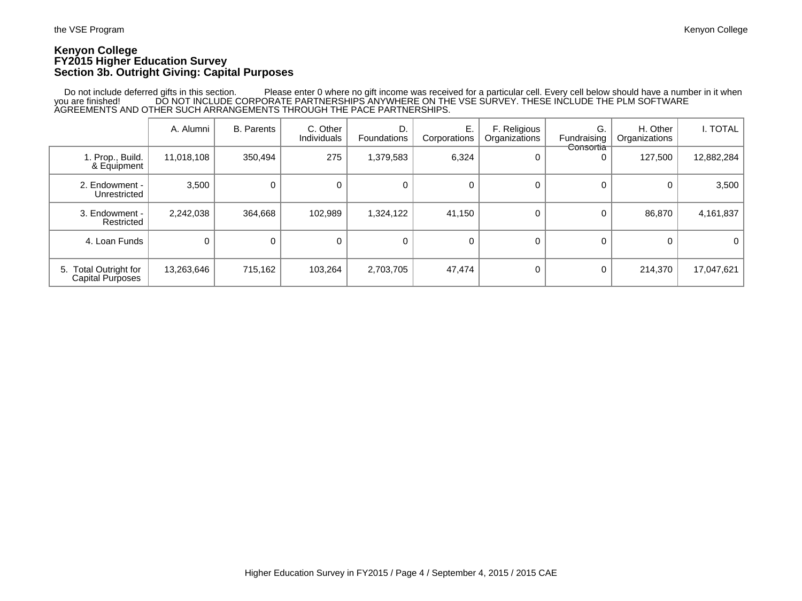## **Kenyon College FY2015 Higher Education Survey Section 3b. Outright Giving: Capital Purposes**

 Do not include deferred gifts in this section. Please enter 0 where no gift income was received for a particular cell. Every cell below should have a number in it when you are finished! DO NOT INCLUDE CORPORATE PARTNERSHIPS ANYWHERE ON THE VSE SURVEY. THESE INCLUDE THE PLM SOFTWARE<br>AGREEMENTS AND OTHER SUCH ARRANGEMENTS THROUGH THE PACE PARTNERSHIPS.

|                                                  | A. Alumni  | <b>B.</b> Parents | C. Other<br>Individuals | D.<br>Foundations | Е.<br>Corporations | F. Religious<br>Organizations | G.<br>Fundraising | H. Other<br>Organizations | i. Total   |
|--------------------------------------------------|------------|-------------------|-------------------------|-------------------|--------------------|-------------------------------|-------------------|---------------------------|------------|
| 1. Prop., Build.<br>& Equipment                  | 11,018,108 | 350,494           | 275                     | 1,379,583         | 6,324              | 0                             | Consortia         | 127,500                   | 12,882,284 |
| 2. Endowment -<br>Unrestricted                   | 3,500      | 0                 | $\Omega$                | $\mathbf 0$       |                    | 0                             |                   |                           | 3,500      |
| 3. Endowment -<br>Restricted                     | 2,242,038  | 364,668           | 102,989                 | 1,324,122         | 41,150             | 0                             | 0                 | 86,870                    | 4,161,837  |
| 4. Loan Funds                                    |            |                   | 0                       | 0                 | $\Omega$           | 0                             |                   |                           | 0          |
| 5. Total Outright for<br><b>Capital Purposes</b> | 13,263,646 | 715,162           | 103,264                 | 2,703,705         | 47,474             | 0                             | 0                 | 214,370                   | 17,047,621 |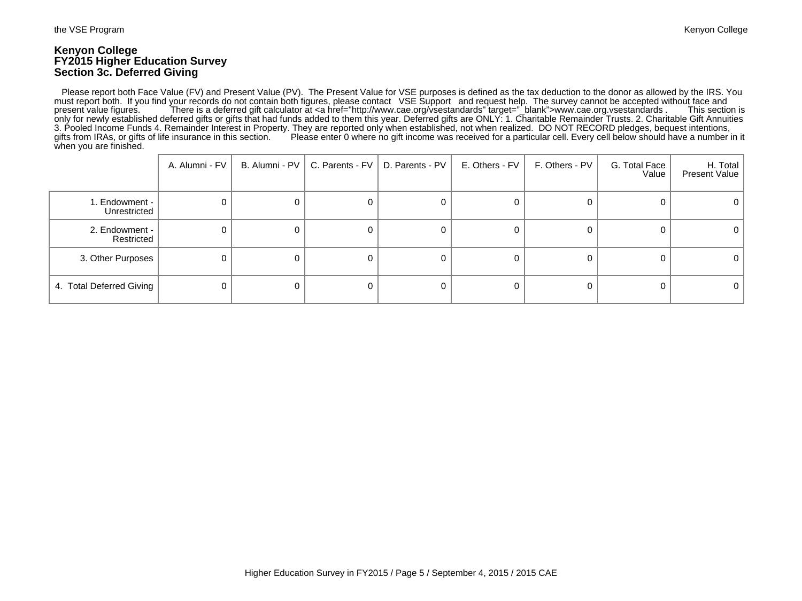#### **Kenyon College FY2015 Higher Education Survey Section 3c. Deferred Giving**

 Please report both Face Value (FV) and Present Value (PV). The Present Value for VSE purposes is defined as the tax deduction to the donor as allowed by the IRS. You must report both. If you find your records do not contain both figures, please contact VSE Support and request help. The survey cannot be accepted without face and<br>present value figures. There is a deferred gift calculator There is a deferred gift calculator at <a href="http://www.cae.org/vsestandards" target="\_blank">www.cae.org.vsestandards . only for newly established deferred gifts or gifts that had funds added to them this year. Deferred gifts are ONLY: 1. Charitable Remainder Trusts. 2. Charitable Gift Annuities 3. Pooled Income Funds 4. Remainder Interest in Property. They are reported only when established, not when realized. DO NOT RECORD pledges, bequest intentions, gifts from IRAs, or gifts of life insurance in this section. Please enter 0 where no gift income was received for a particular cell. Every cell below should have a number in it when you are finished.

|                                | A. Alumni - FV | B. Alumni - PV | C. Parents - FV | D. Parents - PV | E. Others - FV | F. Others - PV | G. Total Face<br>Value | H. Total  <br>Present Value |
|--------------------------------|----------------|----------------|-----------------|-----------------|----------------|----------------|------------------------|-----------------------------|
| 1. Endowment -<br>Unrestricted |                |                |                 |                 | 0              |                |                        |                             |
| 2. Endowment -<br>Restricted   |                |                | O               |                 | 0              |                |                        |                             |
| 3. Other Purposes              |                |                | 0               |                 | 0              |                |                        | U                           |
| 4. Total Deferred Giving       |                |                | 0               |                 | 0              |                |                        | 0                           |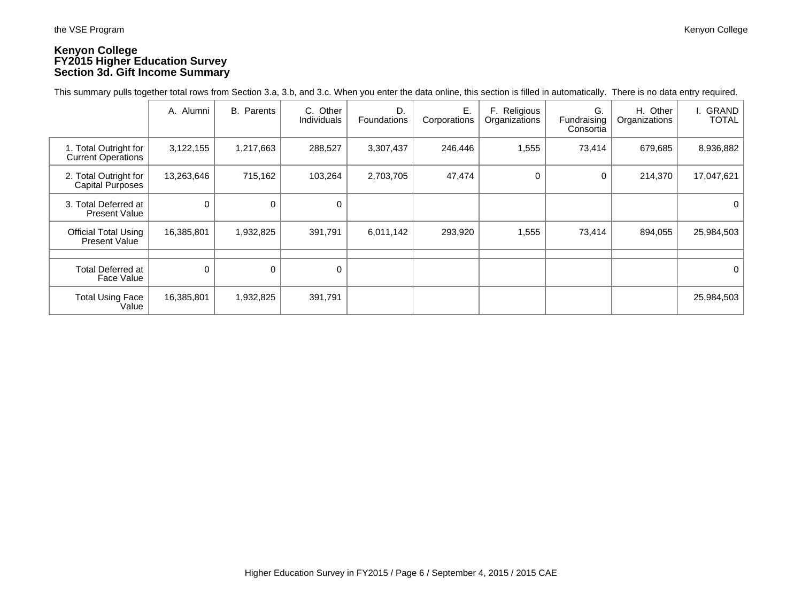# **Kenyon College FY2015 Higher Education Survey Section 3d. Gift Income Summary**

This summary pulls together total rows from Section 3.a, 3.b, and 3.c. When you enter the data online, this section is filled in automatically. There is no data entry required.

|                                                    | A. Alumni   | B. Parents | C. Other<br>Individuals | D.<br><b>Foundations</b> | Ε.<br>Corporations | F. Religious<br>Organizations | G.<br>Fundraising<br>Consortia | H. Other<br>Organizations | I. GRAND<br><b>TOTAL</b> |
|----------------------------------------------------|-------------|------------|-------------------------|--------------------------|--------------------|-------------------------------|--------------------------------|---------------------------|--------------------------|
| 1. Total Outright for<br><b>Current Operations</b> | 3,122,155   | 1,217,663  | 288,527                 | 3,307,437                | 246,446            | 1,555                         | 73,414                         | 679,685                   | 8,936,882                |
| 2. Total Outright for<br>Capital Purposes          | 13,263,646  | 715,162    | 103,264                 | 2,703,705                | 47,474             | 0                             | 0                              | 214,370                   | 17,047,621               |
| 3. Total Deferred at<br><b>Present Value</b>       | 0           | 0          | 0                       |                          |                    |                               |                                |                           | 0                        |
| <b>Official Total Using</b><br>Present Value       | 16,385,801  | 1,932,825  | 391,791                 | 6,011,142                | 293,920            | 1,555                         | 73,414                         | 894,055                   | 25,984,503               |
|                                                    |             |            |                         |                          |                    |                               |                                |                           |                          |
| <b>Total Deferred at</b><br>Face Value             | $\mathbf 0$ | 0          | 0                       |                          |                    |                               |                                |                           | $\mathbf{0}$             |
| <b>Total Using Face</b><br>Value                   | 16,385,801  | 1,932,825  | 391,791                 |                          |                    |                               |                                |                           | 25,984,503               |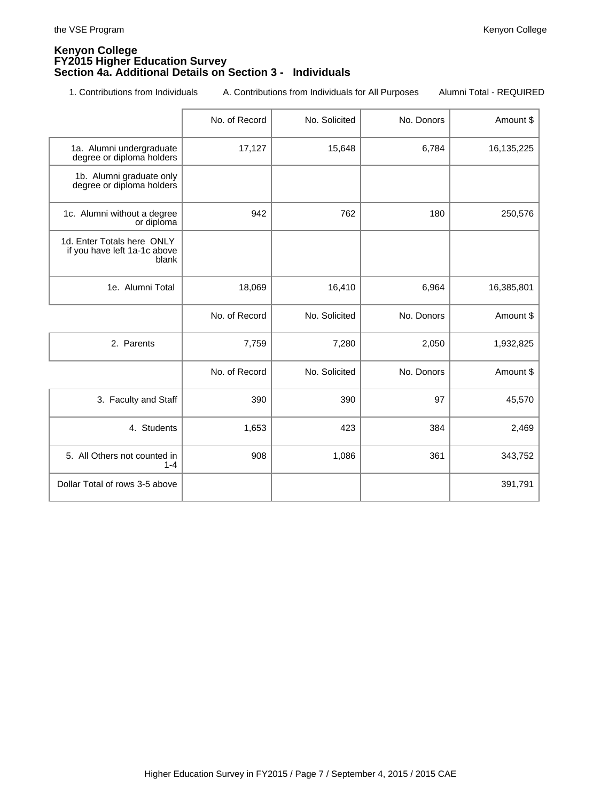#### **Kenyon College FY2015 Higher Education Survey Section 4a. Additional Details on Section 3 - Individuals**

1. Contributions from Individuals A. Contributions from Individuals for All Purposes Alumni Total - REQUIRED

|                                                                     | No. of Record | No. Solicited | No. Donors | Amount \$  |
|---------------------------------------------------------------------|---------------|---------------|------------|------------|
| 1a. Alumni undergraduate<br>degree or diploma holders               | 17,127        | 15,648        | 6,784      | 16,135,225 |
| 1b. Alumni graduate only<br>degree or diploma holders               |               |               |            |            |
| 1c. Alumni without a degree<br>or diploma                           | 942           | 762           | 180        | 250,576    |
| 1d. Enter Totals here ONLY<br>if you have left 1a-1c above<br>blank |               |               |            |            |
| 1e. Alumni Total                                                    | 18,069        | 16,410        | 6,964      | 16,385,801 |
|                                                                     | No. of Record | No. Solicited | No. Donors | Amount \$  |
| 2. Parents                                                          | 7,759         | 7,280         | 2,050      | 1,932,825  |
|                                                                     | No. of Record | No. Solicited | No. Donors | Amount \$  |
| 3. Faculty and Staff                                                | 390           | 390           | 97         | 45,570     |
| 4. Students                                                         | 1,653         | 423           | 384        | 2,469      |
| 5. All Others not counted in<br>$1 - 4$                             | 908           | 1,086         | 361        | 343,752    |
| Dollar Total of rows 3-5 above                                      |               |               |            | 391,791    |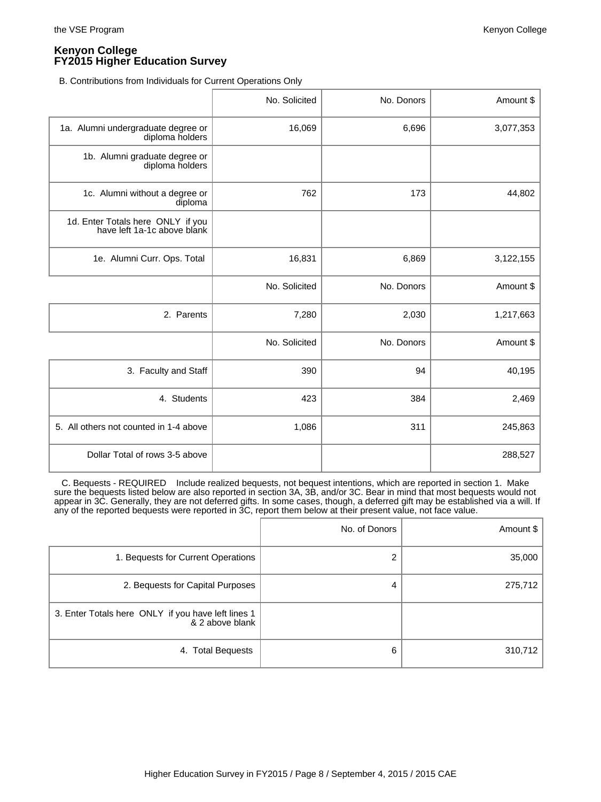B. Contributions from Individuals for Current Operations Only

|                                                                  | No. Solicited | No. Donors | Amount \$ |
|------------------------------------------------------------------|---------------|------------|-----------|
| 1a. Alumni undergraduate degree or<br>diploma holders            | 16,069        | 6,696      | 3,077,353 |
| 1b. Alumni graduate degree or<br>diploma holders                 |               |            |           |
| 1c. Alumni without a degree or<br>diploma                        | 762           | 173        | 44,802    |
| 1d. Enter Totals here ONLY if you<br>have left 1a-1c above blank |               |            |           |
| 1e. Alumni Curr. Ops. Total                                      | 16,831        | 6,869      | 3,122,155 |
|                                                                  | No. Solicited | No. Donors | Amount \$ |
| 2. Parents                                                       | 7,280         | 2,030      | 1,217,663 |
|                                                                  | No. Solicited | No. Donors | Amount \$ |
| 3. Faculty and Staff                                             | 390           | 94         | 40,195    |
| 4. Students                                                      | 423           | 384        | 2,469     |
| 5. All others not counted in 1-4 above                           | 1,086         | 311        | 245,863   |
| Dollar Total of rows 3-5 above                                   |               |            | 288,527   |

 C. Bequests - REQUIRED Include realized bequests, not bequest intentions, which are reported in section 1. Make sure the bequests listed below are also reported in section 3A, 3B, and/or 3C. Bear in mind that most bequests would not appear in 3C. Generally, they are not deferred gifts. In some cases, though, a deferred gift may be established via a will. If any of the reported bequests were reported in 3C, report them below at their present value, not face value.

|                                                                       | No. of Donors | Amount $\frac{1}{2}$ |
|-----------------------------------------------------------------------|---------------|----------------------|
| 1. Bequests for Current Operations                                    | 2             | 35,000               |
| 2. Bequests for Capital Purposes                                      | 4             | 275,712              |
| 3. Enter Totals here ONLY if you have left lines 1<br>& 2 above blank |               |                      |
| 4. Total Bequests                                                     | 6             | 310,712              |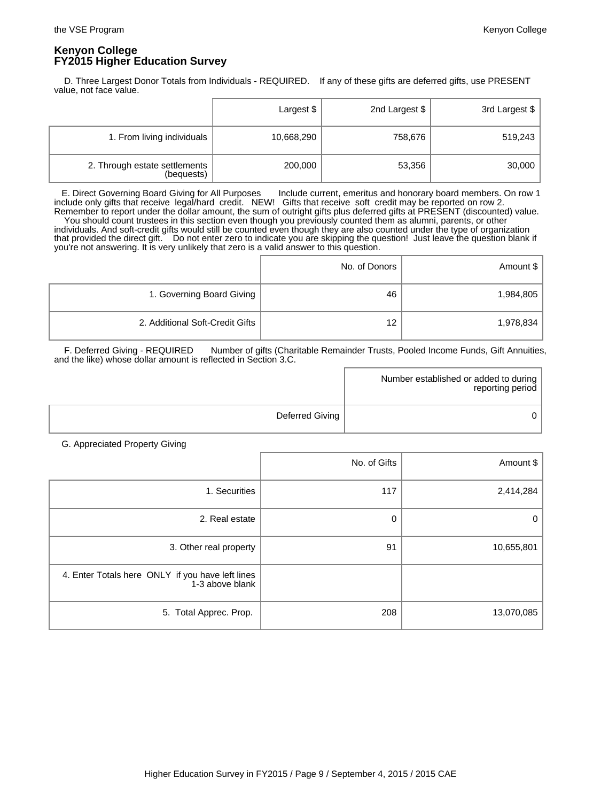D. Three Largest Donor Totals from Individuals - REQUIRED. If any of these gifts are deferred gifts, use PRESENT value, not face value.

|                                             | Largest \$ | 2nd Largest \$ | 3rd Largest \$ |
|---------------------------------------------|------------|----------------|----------------|
| 1. From living individuals                  | 10,668,290 | 758,676        | 519,243        |
| 2. Through estate settlements<br>(bequests) | 200,000    | 53,356         | 30,000         |

 E. Direct Governing Board Giving for All Purposes Include current, emeritus and honorary board members. On row 1 include only gifts that receive legal/hard credit. NEW! Gifts that receive soft credit may be reported on row 2. Remember to report under the dollar amount, the sum of outright gifts plus deferred gifts at PRESENT (discounted) value. You should count trustees in this section even though you previously counted them as alumni, parents, or other individuals. And soft-credit gifts would still be counted even though they are also counted under the type of organization that provided the direct gift. Do not enter zero to indicate you are skipping the question! Just leave the question blank if you're not answering. It is very unlikely that zero is a valid answer to this question.

|                                 | No. of Donors | Amount \$ |
|---------------------------------|---------------|-----------|
| 1. Governing Board Giving       | 46            | 1,984,805 |
| 2. Additional Soft-Credit Gifts | 12            | 1,978,834 |

F. Deferred Giving - REQUIRED Number of gifts (Charitable Remainder Trusts, Pooled Income Funds, Gift Annuities, and the like) whose dollar amount is reflected in Section 3.C.

|                 | Number established or added to during  <br>reporting period |
|-----------------|-------------------------------------------------------------|
| Deferred Giving |                                                             |

G. Appreciated Property Giving

|                                                                     | No. of Gifts | Amount \$  |
|---------------------------------------------------------------------|--------------|------------|
| 1. Securities                                                       | 117          | 2,414,284  |
| 2. Real estate                                                      | 0            | 0          |
| 3. Other real property                                              | 91           | 10,655,801 |
| 4. Enter Totals here ONLY if you have left lines<br>1-3 above blank |              |            |
| 5. Total Apprec. Prop.                                              | 208          | 13,070,085 |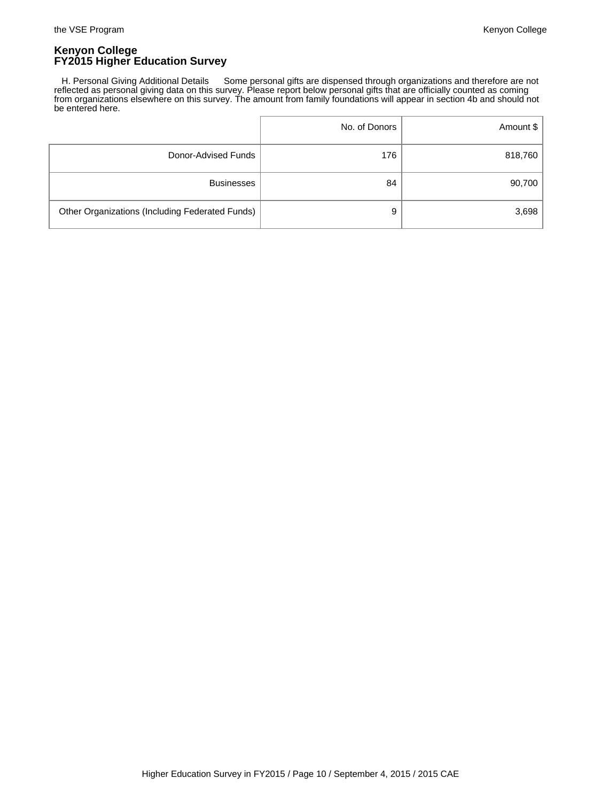H. Personal Giving Additional Details Some personal gifts are dispensed through organizations and therefore are not reflected as personal giving data on this survey. Please report below personal gifts that are officially counted as coming from organizations elsewhere on this survey. The amount from family foundations will appear in section 4b and should not be entered here.

|                                                 | No. of Donors | Amount \$ |
|-------------------------------------------------|---------------|-----------|
| Donor-Advised Funds                             | 176           | 818,760   |
| <b>Businesses</b>                               | 84            | 90,700    |
| Other Organizations (Including Federated Funds) | 9             | 3,698     |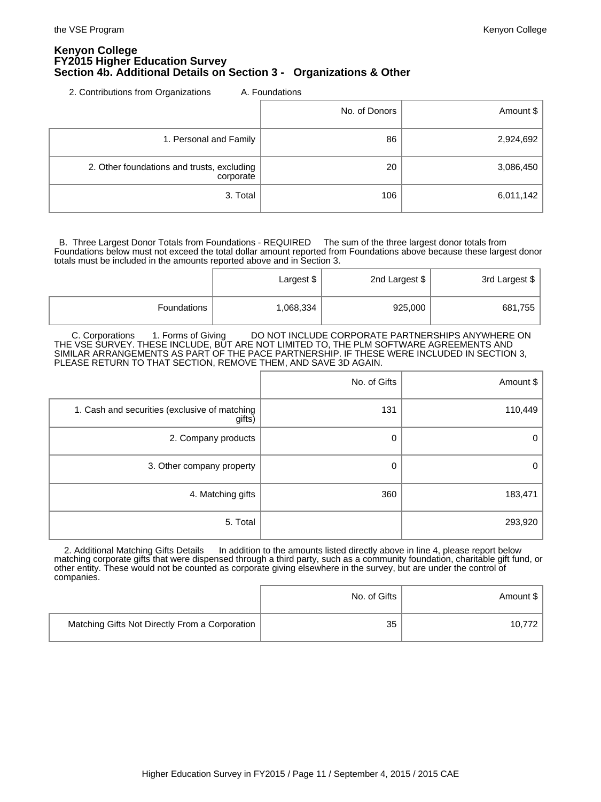#### **Kenyon College FY2015 Higher Education Survey Section 4b. Additional Details on Section 3 - Organizations & Other**

2. Contributions from Organizations A. Foundations

|                                                         | No. of Donors | Amount \$ |
|---------------------------------------------------------|---------------|-----------|
| 1. Personal and Family                                  | 86            | 2,924,692 |
| 2. Other foundations and trusts, excluding<br>corporate | 20            | 3,086,450 |
| 3. Total                                                | 106           | 6,011,142 |

 B. Three Largest Donor Totals from Foundations - REQUIRED The sum of the three largest donor totals from Foundations below must not exceed the total dollar amount reported from Foundations above because these largest donor totals must be included in the amounts reported above and in Section 3.

|             | Largest \$ | 2nd Largest \$ | 3rd Largest \$ |
|-------------|------------|----------------|----------------|
| Foundations | 1,068,334  | 925,000        | 681,755        |

 C. Corporations 1. Forms of Giving DO NOT INCLUDE CORPORATE PARTNERSHIPS ANYWHERE ON THE VSE SURVEY. THESE INCLUDE, BUT ARE NOT LIMITED TO, THE PLM SOFTWARE AGREEMENTS AND SIMILAR ARRANGEMENTS AS PART OF THE PACE PARTNERSHIP. IF THESE WERE INCLUDED IN SECTION 3, PLEASE RETURN TO THAT SECTION, REMOVE THEM, AND SAVE 3D AGAIN.

|                                                         | No. of Gifts | Amount $\frac{1}{2}$ |
|---------------------------------------------------------|--------------|----------------------|
| 1. Cash and securities (exclusive of matching<br>gifts) | 131          | 110,449              |
| 2. Company products                                     | 0            | 0                    |
| 3. Other company property                               | 0            | 0                    |
| 4. Matching gifts                                       | 360          | 183,471              |
| 5. Total                                                |              | 293,920              |

2. Additional Matching Gifts Details In addition to the amounts listed directly above in line 4, please report below matching corporate gifts that were dispensed through a third party, such as a community foundation, charitable gift fund, or other entity. These would not be counted as corporate giving elsewhere in the survey, but are under the control of companies.

|                                                | No. of Gifts | Amount \$ |
|------------------------------------------------|--------------|-----------|
| Matching Gifts Not Directly From a Corporation | 35           | 10.772    |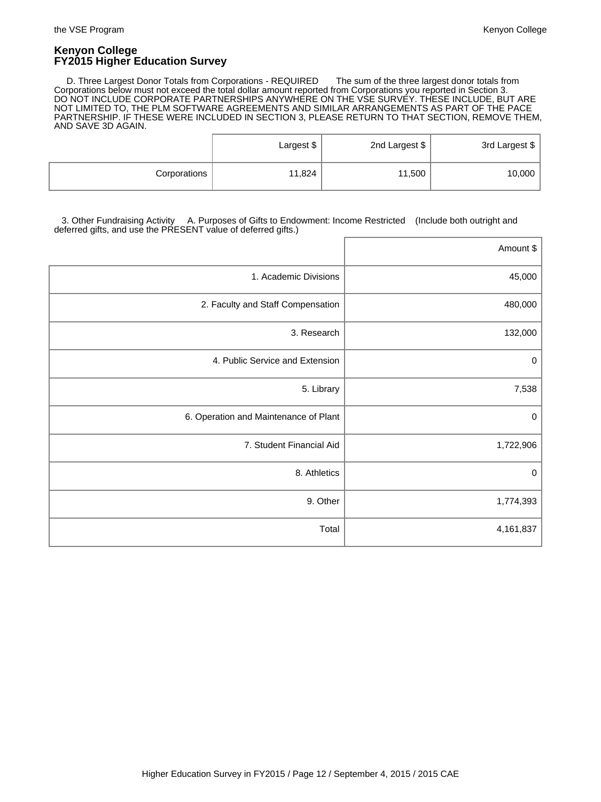D. Three Largest Donor Totals from Corporations - REQUIRED The sum of the three largest donor totals from Corporations below must not exceed the total dollar amount reported from Corporations you reported in Section 3. DO NOT INCLUDE CORPORATE PARTNERSHIPS ANYWHERE ON THE VSE SURVEY. THESE INCLUDE, BUT ARE NOT LIMITED TO, THE PLM SOFTWARE AGREEMENTS AND SIMILAR ARRANGEMENTS AS PART OF THE PACE PARTNERSHIP. IF THESE WERE INCLUDED IN SECTION 3, PLEASE RETURN TO THAT SECTION, REMOVE THEM, AND SAVE 3D AGAIN.

|              | Largest \$ | 2nd Largest \$ | 3rd Largest \$ |
|--------------|------------|----------------|----------------|
| Corporations | 11,824     | 11,500         | 10,000         |

 3. Other Fundraising Activity A. Purposes of Gifts to Endowment: Income Restricted (Include both outright and deferred gifts, and use the PRESENT value of deferred gifts.)

|                                       | Amount \$   |
|---------------------------------------|-------------|
| 1. Academic Divisions                 | 45,000      |
| 2. Faculty and Staff Compensation     | 480,000     |
| 3. Research                           | 132,000     |
| 4. Public Service and Extension       | 0           |
| 5. Library                            | 7,538       |
| 6. Operation and Maintenance of Plant | $\mathbf 0$ |
| 7. Student Financial Aid              | 1,722,906   |
| 8. Athletics                          | $\pmb{0}$   |
| 9. Other                              | 1,774,393   |
| Total                                 | 4,161,837   |